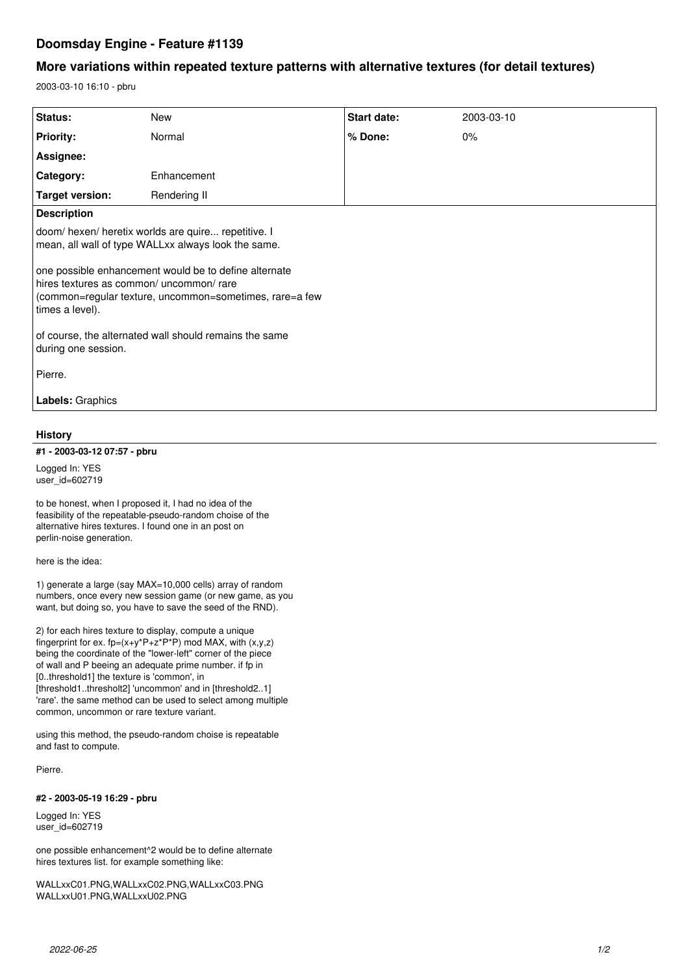# **Doomsday Engine - Feature #1139**

## **More variations within repeated texture patterns with alternative textures (for detail textures)**

2003-03-10 16:10 - pbru

| Status:                                                                                                                                                           | <b>New</b>   | Start date: | 2003-03-10 |
|-------------------------------------------------------------------------------------------------------------------------------------------------------------------|--------------|-------------|------------|
| <b>Priority:</b>                                                                                                                                                  | Normal       | % Done:     | 0%         |
| Assignee:                                                                                                                                                         |              |             |            |
| Category:                                                                                                                                                         | Enhancement  |             |            |
| <b>Target version:</b>                                                                                                                                            | Rendering II |             |            |
| <b>Description</b>                                                                                                                                                |              |             |            |
| doom/hexen/heretix worlds are quire repetitive. I<br>mean, all wall of type WALLxx always look the same.<br>one possible enhancement would be to define alternate |              |             |            |
| hires textures as common/ uncommon/ rare<br>(common=regular texture, uncommon=sometimes, rare=a few<br>times a level).                                            |              |             |            |
| of course, the alternated wall should remains the same<br>during one session.                                                                                     |              |             |            |
| Pierre.                                                                                                                                                           |              |             |            |
| <b>Labels: Graphics</b>                                                                                                                                           |              |             |            |

### **History**

#### **#1 - 2003-03-12 07:57 - pbru**

Logged In: YES user\_id=602719

to be honest, when I proposed it, I had no idea of the feasibility of the repeatable-pseudo-random choise of the alternative hires textures. I found one in an post on perlin-noise generation.

here is the idea:

1) generate a large (say MAX=10,000 cells) array of random numbers, once every new session game (or new game, as you want, but doing so, you have to save the seed of the RND).

2) for each hires texture to display, compute a unique fingerprint for ex.  $fp=(x+y^*P+z^*P^*) \mod MAX$ , with  $(x,y,z)$ being the coordinate of the "lower-left" corner of the piece of wall and P beeing an adequate prime number. if fp in [0..threshold1] the texture is 'common', in [threshold1..thresholt2] 'uncommon' and in [threshold2..1] 'rare'. the same method can be used to select among multiple common, uncommon or rare texture variant.

using this method, the pseudo-random choise is repeatable and fast to compute.

Pierre.

### **#2 - 2003-05-19 16:29 - pbru**

Logged In: YES user $id = 602719$ 

one possible enhancement^2 would be to define alternate hires textures list. for example something like:

WALLxxC01.PNG,WALLxxC02.PNG,WALLxxC03.PNG WALLxxU01.PNG,WALLxxU02.PNG